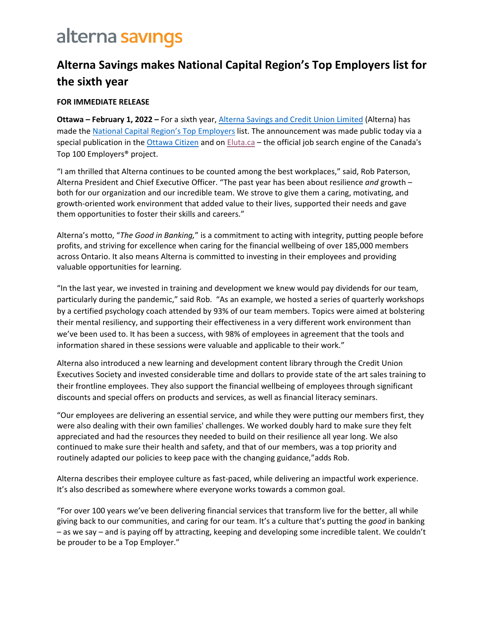## alterna savings

### **Alterna Savings makes National Capital Region's Top Employers list for the sixth year**

### **FOR IMMEDIATE RELEASE**

**Ottawa – February 1, 2022 –** For a sixth year, [Alterna Savings and Credit Union Limited](https://www.alterna.ca/) (Alterna) has made the [National Capital Region's Top Employer](https://www.canadastop100.com/ottawa/)s list. The announcement was made public today via a special publication in the [Ottawa Citizen](https://e.issuu.com/embed.html?d=ncr2022-magazine&u=ct100.) and on [Eluta.ca](https://www.eluta.ca/) - the official job search engine of the Canada's Top 100 Employers® project.

"I am thrilled that Alterna continues to be counted among the best workplaces," said, Rob Paterson, Alterna President and Chief Executive Officer. "The past year has been about resilience *and* growth – both for our organization and our incredible team. We strove to give them a caring, motivating, and growth-oriented work environment that added value to their lives, supported their needs and gave them opportunities to foster their skills and careers."

Alterna's motto, "*The Good in Banking,*" is a commitment to acting with integrity, putting people before profits, and striving for excellence when caring for the financial wellbeing of over 185,000 members across Ontario. It also means Alterna is committed to investing in their employees and providing valuable opportunities for learning.

"In the last year, we invested in training and development we knew would pay dividends for our team, particularly during the pandemic," said Rob. "As an example, we hosted a series of quarterly workshops by a certified psychology coach attended by 93% of our team members. Topics were aimed at bolstering their mental resiliency, and supporting their effectiveness in a very different work environment than we've been used to. It has been a success, with 98% of employees in agreement that the tools and information shared in these sessions were valuable and applicable to their work."

Alterna also introduced a new learning and development content library through the Credit Union Executives Society and invested considerable time and dollars to provide state of the art sales training to their frontline employees. They also support the financial wellbeing of employees through significant discounts and special offers on products and services, as well as financial literacy seminars.

"Our employees are delivering an essential service, and while they were putting our members first, they were also dealing with their own families' challenges. We worked doubly hard to make sure they felt appreciated and had the resources they needed to build on their resilience all year long. We also continued to make sure their health and safety, and that of our members, was a top priority and routinely adapted our policies to keep pace with the changing guidance,"adds Rob.

Alterna describes their employee culture as fast-paced, while delivering an impactful work experience. It's also described as somewhere where everyone works towards a common goal.

"For over 100 years we've been delivering financial services that transform live for the better, all while giving back to our communities, and caring for our team. It's a culture that's putting the *good* in banking – as we say – and is paying off by attracting, keeping and developing some incredible talent. We couldn't be prouder to be a Top Employer."